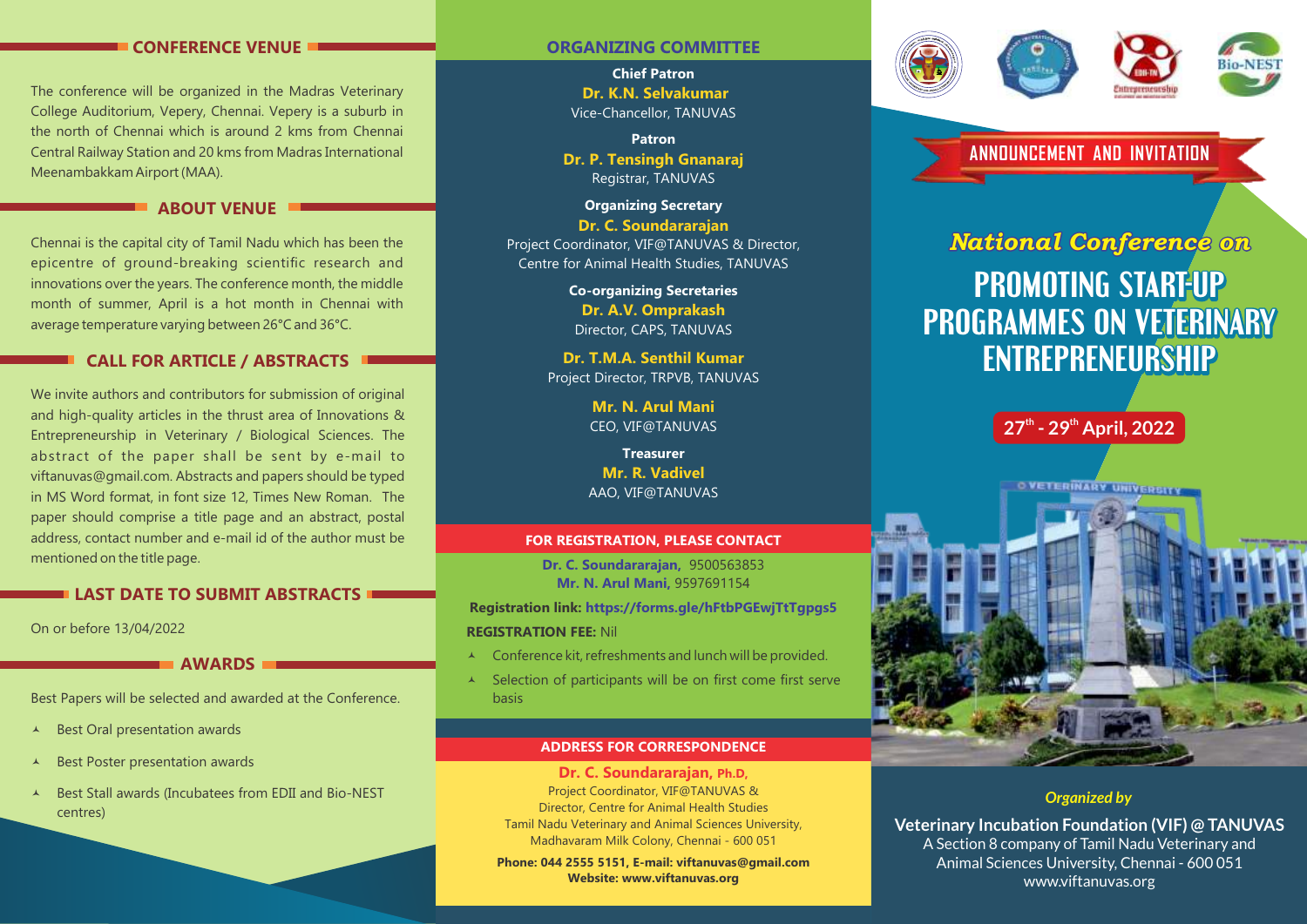# **CONFERENCE VENUE**

The conference will be organized in the Madras Veterinary College Auditorium, Vepery, Chennai. Vepery is a suburb in the north of Chennai which is around 2 kms from Chennai Central Railway Station and 20 kms from Madras International Meenambakkam Airport (MAA).

# **ABOUT VENUE**

Chennai is the capital city of Tamil Nadu which has been the epicentre of ground-breaking scientific research and innovations over the years. The conference month, the middle month of summer, April is a hot month in Chennai with average temperature varying between 26°C and 36°C.

# **CALL FOR ARTICLE / ABSTRACTS**

We invite authors and contributors for submission of original and high-quality articles in the thrust area of Innovations & Entrepreneurship in Veterinary / Biological Sciences. The abstract of the paper shall be sent by e-mail to viftanuvas@gmail.com. Abstracts and papers should be typed in MS Word format, in font size 12, Times New Roman. The paper should comprise a title page and an abstract, postal address, contact number and e-mail id of the author must be mentioned on the title page.

# **LAST DATE TO SUBMIT ABSTRACTS**

On or before 13/04/2022

**AWARDS**

Best Papers will be selected and awarded at the Conference.

- $\triangle$  Best Oral presentation awards
- Best Poster presentation awards
- © Best Stall awards (Incubatees from EDII and Bio-NEST centres)

# **ORGANIZING COMMITTEE**

**Chief Patron Dr. K.N. Selvakumar** Vice-Chancellor, TANUVAS

**Patron Dr. P. Tensingh Gnanaraj** Registrar, TANUVAS

**Organizing Secretary Dr. C. Soundararajan** Project Coordinator, VIF@TANUVAS & Director, Centre for Animal Health Studies, TANUVAS

> **Co-organizing Secretaries Dr. A.V. Omprakash** Director, CAPS, TANUVAS

**Dr. T.M.A. Senthil Kumar** Project Director, TRPVB, TANUVAS

> **Mr. N. Arul Mani** CEO, VIF@TANUVAS

**Treasurer Mr. R. Vadivel** AAO, VIF@TANUVAS

## **FOR REGISTRATION, PLEASE CONTACT**

**Dr. C. Soundararajan,** 9500563853 **Mr. N. Arul Mani,** 9597691154

**Registration link: https://forms.gle/hFtbPGEwjTtTgpgs5 REGISTRATION FEE:** Nil

- $\lambda$  Conference kit, refreshments and lunch will be provided.
- $\triangle$  Selection of participants will be on first come first serve basis

#### **ADDRESS FOR CORRESPONDENCE**

**Dr. C. Soundararajan, Ph.D,** Project Coordinator, VIF@TANUVAS & Director, Centre for Animal Health Studies Tamil Nadu Veterinary and Animal Sciences University, Madhavaram Milk Colony, Chennai - 600 051

**Phone: 044 2555 5151, E-mail: viftanuvas@gmail.com Website: www.viftanuvas.org**





**ANNOUNCEMENT AND INVITATION** 

# **PROMOTING START-UP PROMOTING START-UP PROGRAMMES ON VETERINARY ENTREPRENEURSHIP ENTREPRENEURSHIP** *ENTREPRENEURSHIP<br>PROMOTING START-UP<br>ROGRAMMES ON VETERINAR<br>ENTREPRENEURSHIP* **PROGRAMMES ON VETERINARY**





# *Organized by*

**Veterinary Incubation Foundation (VIF) @ TANUVAS**  A Section 8 company of Tamil Nadu Veterinary and Animal Sciences University, Chennai - 600 051 www.viftanuvas.org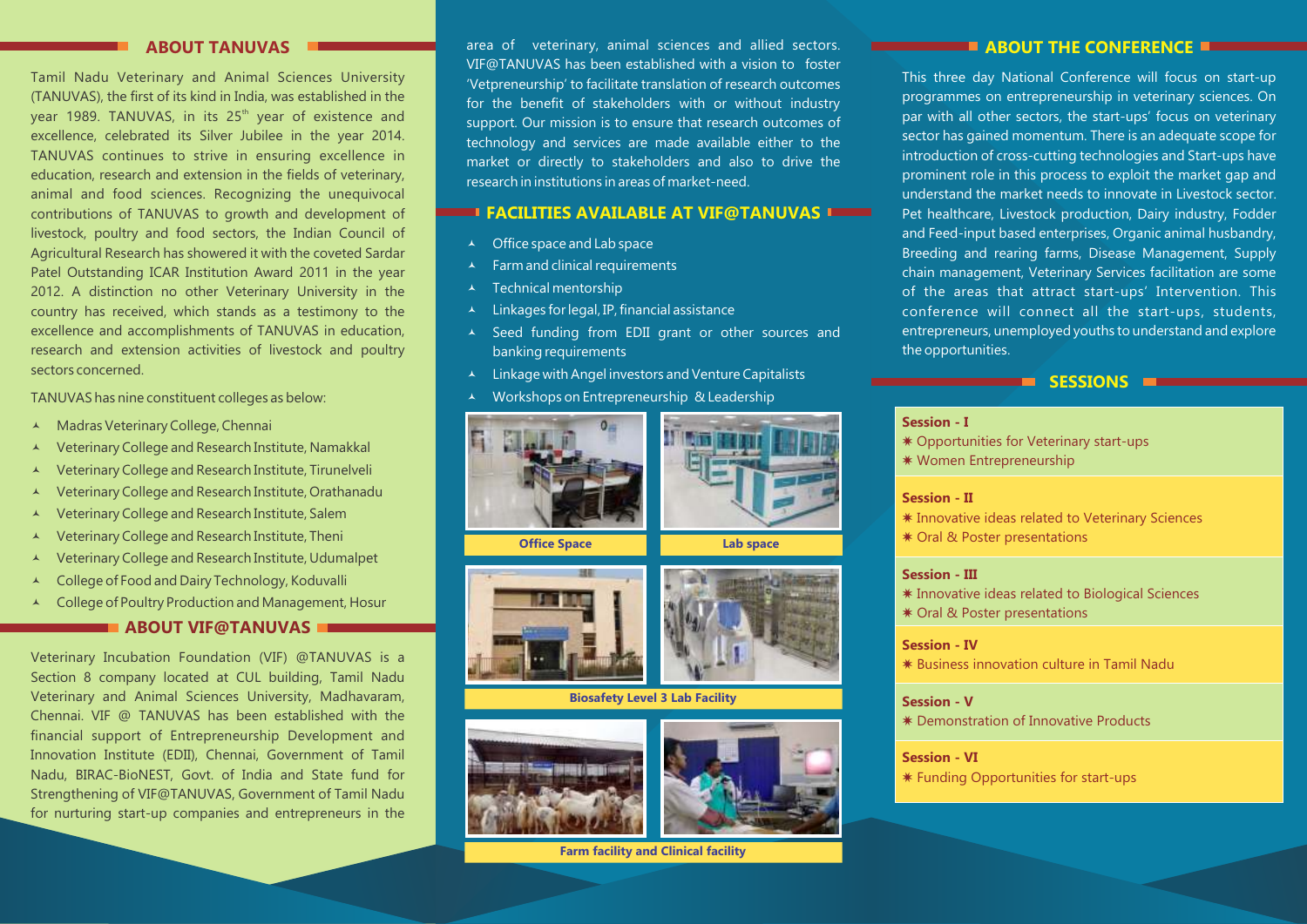## **ABOUT TANUVAS**

Tamil Nadu Veterinary and Animal Sciences University (TANUVAS), the first of its kind in India, was established in the year 1989. TANUVAS, in its 25<sup>th</sup> year of existence and excellence, celebrated its Silver Jubilee in the year 2014. TANUVAS continues to strive in ensuring excellence in education, research and extension in the fields of veterinary, animal and food sciences. Recognizing the unequivocal contributions of TANUVAS to growth and development of livestock, poultry and food sectors, the Indian Council of Agricultural Research has showered it with the coveted Sardar Patel Outstanding ICAR Institution Award 2011 in the year 2012. A distinction no other Veterinary University in the country has received, which stands as a testimony to the excellence and accomplishments of TANUVAS in education, research and extension activities of livestock and poultry sectors concerned.

TANUVAS has nine constituent colleges as below:

- ▲ Madras Veterinary College, Chennai
- © Veterinary College and Research Institute, Namakkal
- © Veterinary College and Research Institute, Tirunelveli
- © Veterinary College and Research Institute, Orathanadu
- © Veterinary College and Research Institute, Salem
- © Veterinary College and Research Institute, Theni
- Veterinary College and Research Institute, Udumalpet
- © College of Food and Dairy Technology, Koduvalli
- © College of Poultry Production and Management, Hosur

# **ABOUT VIF@TANUVAS**

Veterinary Incubation Foundation (VIF) @TANUVAS is a Section 8 company located at CUL building, Tamil Nadu Veterinary and Animal Sciences University, Madhavaram, Chennai. VIF @ TANUVAS has been established with the financial support of Entrepreneurship Development and Innovation Institute (EDII), Chennai, Government of Tamil Nadu, BIRAC-BioNEST, Govt. of India and State fund for Strengthening of VIF@TANUVAS, Government of Tamil Nadu for nurturing start-up companies and entrepreneurs in the

area of veterinary, animal sciences and allied sectors. VIF@TANUVAS has been established with a vision to foster 'Vetpreneurship' to facilitate translation of research outcomes for the benefit of stakeholders with or without industry support. Our mission is to ensure that research outcomes of technology and services are made available either to the market or directly to stakeholders and also to drive the research in institutions in areas of market-need.

# **FACILITIES AVAILABLE AT VIF@TANUVAS**

- $\triangle$  Office space and Lab space
- $\lambda$  Farm and clinical requirements
- $\lambda$  Technical mentorship
- Linkages for legal, IP, financial assistance
- © Seed funding from EDII grant or other sources and banking requirements
- © Linkage with Angel investors and Venture Capitalists
- Workshops on Entrepreneurship & Leadership





 **Office Space** 





**Lab space** 

#### **Biosafety Level 3 Lab Facility**





**Farm facility and Clinical facility**

## **ABOUT THE CONFERENCE**

This three day National Conference will focus on start-up programmes on entrepreneurship in veterinary sciences. On par with all other sectors, the start-ups' focus on veterinary sector has gained momentum. There is an adequate scope for introduction of cross-cutting technologies and Start-ups have prominent role in this process to exploit the market gap and understand the market needs to innovate in Livestock sector. Pet healthcare, Livestock production, Dairy industry, Fodder and Feed-input based enterprises, Organic animal husbandry, Breeding and rearing farms, Disease Management, Supply chain management, Veterinary Services facilitation are some of the areas that attract start-ups' Intervention. This conference will connect all the start-ups, students, entrepreneurs, unemployed youths to understand and explore the opportunities.

### **SESSIONS External**

#### **Session - I**

- \* Opportunities for Veterinary start-ups
- WWomen Entrepreneurship

### **Session - II**

- \* Innovative ideas related to Veterinary Sciences
- **\* Oral & Poster presentations**

#### **Session - III**

- \* Innovative ideas related to Biological Sciences
- **★ Oral & Poster presentations**

#### **Session - IV**

WBusiness innovation culture in Tamil Nadu

#### **Session - V**

**\* Demonstration of Innovative Products** 

#### **Session - VI**

**\* Funding Opportunities for start-ups**